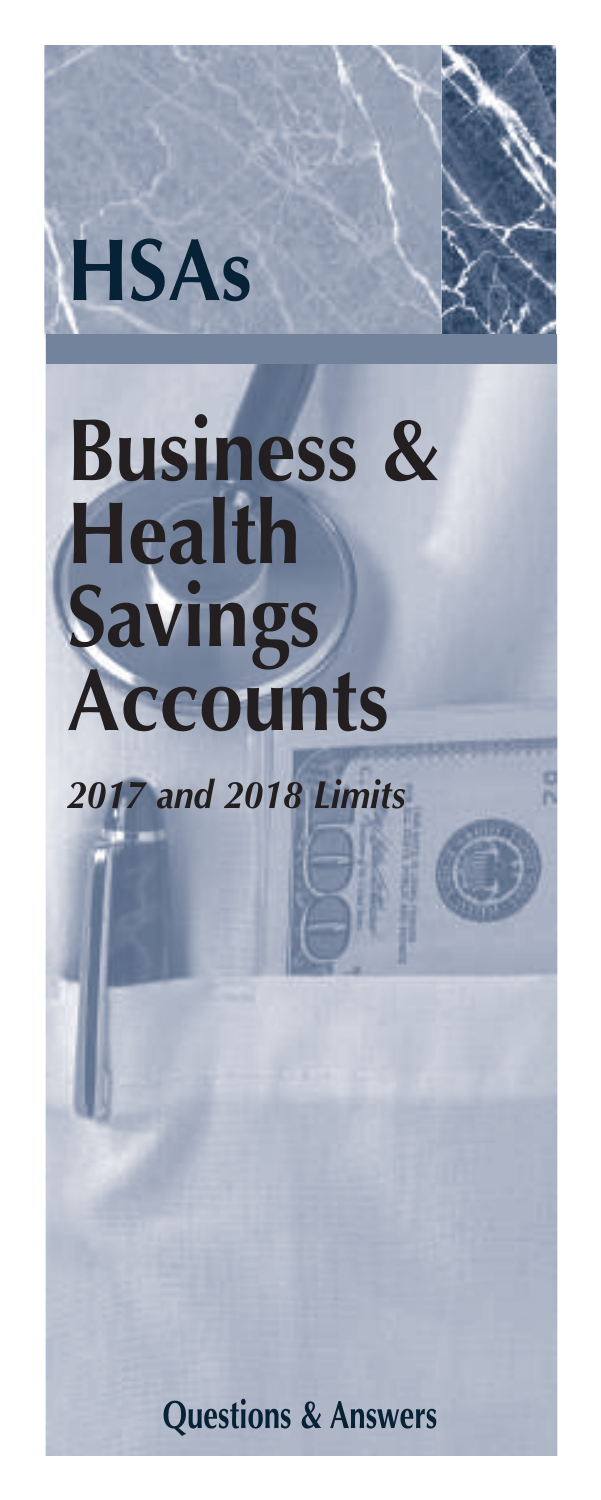

# **Business & Health Savings Accounts**

*2017 and 2018 Limits*

**Questions & Answers**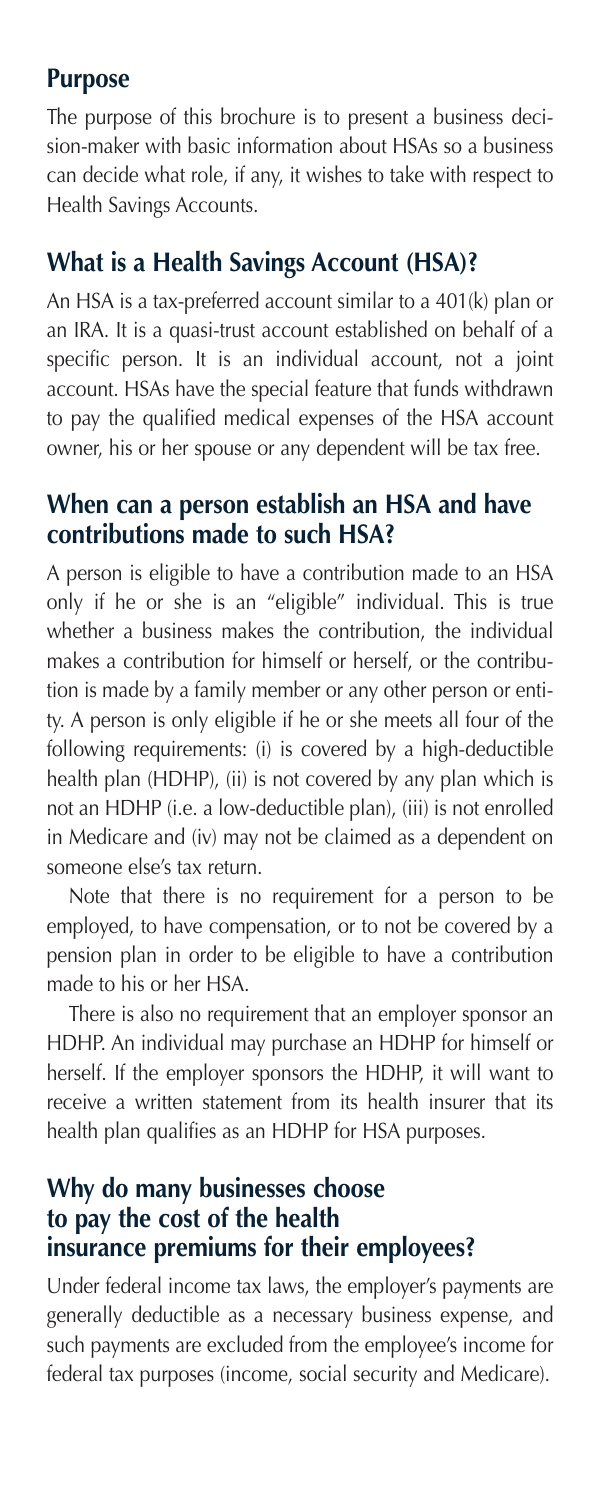#### **Purpose**

The purpose of this brochure is to present a business decision-maker with basic information about HSAs so a business can decide what role, if any, it wishes to take with respect to Health Savings Accounts.

## **What is a Health Savings Account (HSA)?**

An HSA is a tax-preferred account similar to a 401(k) plan or an IRA. It is a quasi-trust account established on behalf of a specific person. It is an individual account, not a joint account. HSAs have the special feature that funds withdrawn to pay the qualified medical expenses of the HSA account owner, his or her spouse or any dependent will be tax free.

## **When can a person establish an HSA and have contributions made to such HSA?**

A person is eligible to have a contribution made to an HSA only if he or she is an "eligible" individual. This is true whether a business makes the contribution, the individual makes a contribution for himself or herself, or the contribution is made by a family member or any other person or entity. A person is only eligible if he or she meets all four of the following requirements: (i) is covered by a high-deductible health plan (HDHP), (ii) is not covered by any plan which is not an HDHP (i.e. a low-deductible plan), (iii) is not enrolled in Medicare and (iv) may not be claimed as a dependent on someone else's tax return.

 Note that there is no requirement for a person to be employed, to have compensation, or to not be covered by a pension plan in order to be eligible to have a contribution made to his or her HSA.

 There is also no requirement that an employer sponsor an HDHP. An individual may purchase an HDHP for himself or herself. If the employer sponsors the HDHP, it will want to receive a written statement from its health insurer that its health plan qualifies as an HDHP for HSA purposes.

#### **Why do many businesses choose to pay the cost of the health insurance premiums for their employees?**

Under federal income tax laws, the employer's payments are generally deductible as a necessary business expense, and such payments are excluded from the employee's income for federal tax purposes (income, social security and Medicare).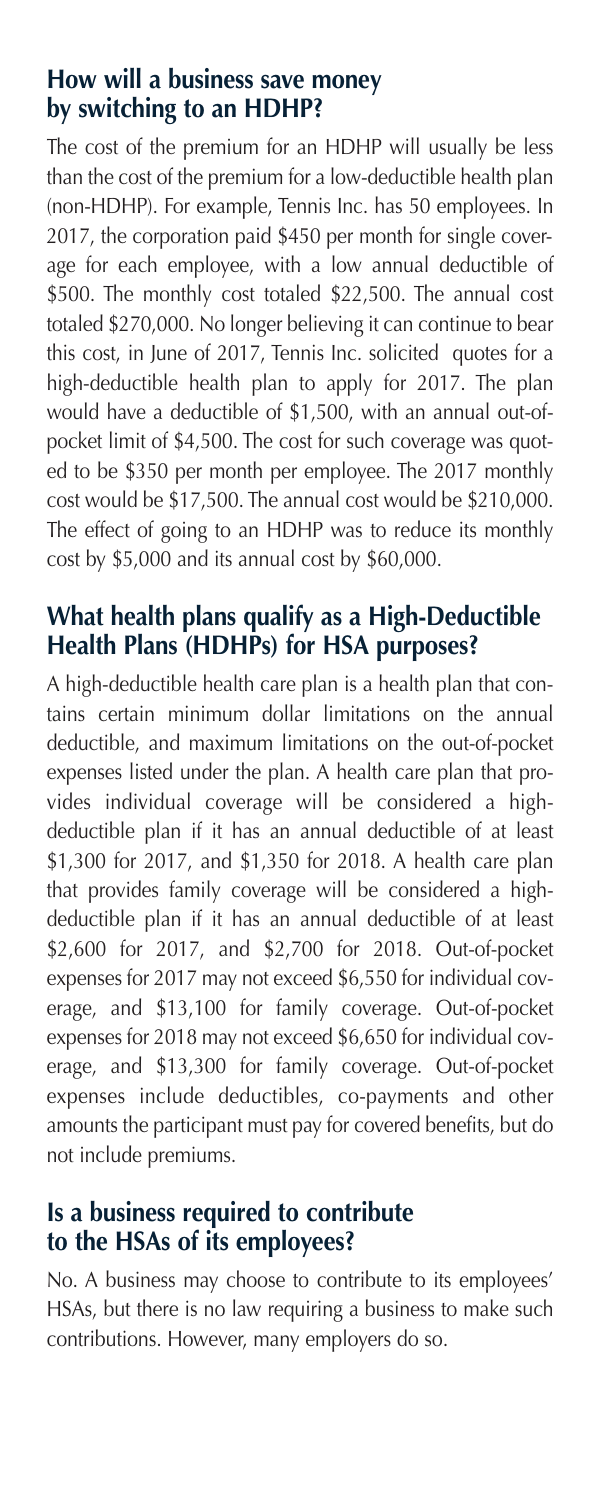#### **How will a business save money by switching to an HDHP?**

The cost of the premium for an HDHP will usually be less than the cost of the premium for a low-deductible health plan (non-HDHP). For example, Tennis Inc. has 50 employees. In 2017, the corporation paid \$450 per month for single coverage for each employee, with a low annual deductible of \$500. The monthly cost totaled \$22,500. The annual cost totaled \$270,000. No longer believing it can continue to bear this cost, in June of 2017, Tennis Inc. solicited quotes for a high-deductible health plan to apply for 2017. The plan would have a deductible of \$1,500, with an annual out-ofpocket limit of \$4,500. The cost for such coverage was quoted to be \$350 per month per employee. The 2017 monthly cost would be \$17,500. The annual cost would be \$210,000. The effect of going to an HDHP was to reduce its monthly cost by \$5,000 and its annual cost by \$60,000.

# **What health plans qualify as a High-Deductible Health Plans (HDHPs) for HSA purposes?**

A high-deductible health care plan is a health plan that contains certain minimum dollar limitations on the annual deductible, and maximum limitations on the out-of-pocket expenses listed under the plan. A health care plan that provides individual coverage will be considered a highdeductible plan if it has an annual deductible of at least \$1,300 for 2017, and \$1,350 for 2018. A health care plan that provides family coverage will be considered a highdeductible plan if it has an annual deductible of at least \$2,600 for 2017, and \$2,700 for 2018. Out-of-pocket expenses for 2017 may not exceed \$6,550 for individual coverage, and \$13,100 for family coverage. Out-of-pocket expenses for 2018 may not exceed \$6,650 for individual coverage, and \$13,300 for family coverage. Out-of-pocket expenses include deductibles, co-payments and other amounts the participant must pay for covered benefits, but do not include premiums.

## **Is a business required to contribute to the HSAs of its employees?**

No. A business may choose to contribute to its employees' HSAs, but there is no law requiring a business to make such contributions. However, many employers do so.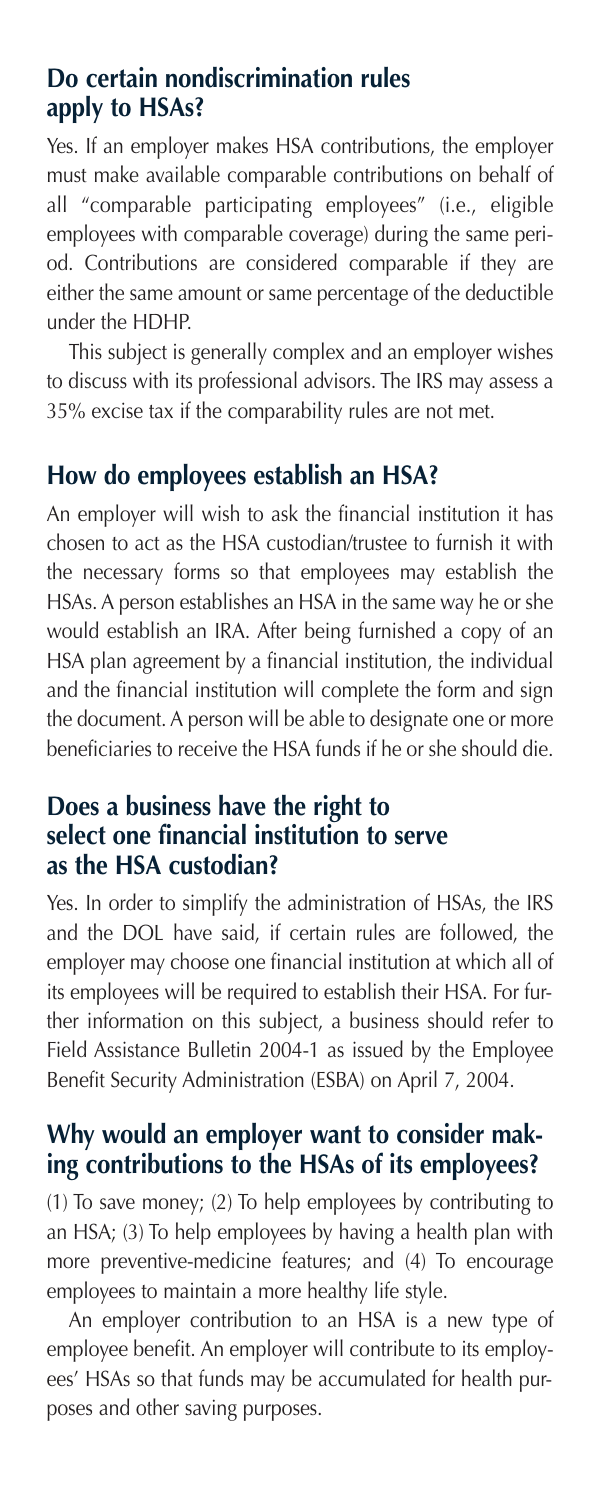#### **Do certain nondiscrimination rules apply to HSAs?**

Yes. If an employer makes HSA contributions, the employer must make available comparable contributions on behalf of all "comparable participating employees" (i.e., eligible employees with comparable coverage) during the same period. Contributions are considered comparable if they are either the same amount or same percentage of the deductible under the HDHP.

 This subject is generally complex and an employer wishes to discuss with its professional advisors. The IRS may assess a 35% excise tax if the comparability rules are not met.

## **How do employees establish an HSA?**

An employer will wish to ask the financial institution it has chosen to act as the HSA custodian/trustee to furnish it with the necessary forms so that employees may establish the HSAs. A person establishes an HSA in the same way he or she would establish an IRA. After being furnished a copy of an HSA plan agreement by a financial institution, the individual and the financial institution will complete the form and sign the document. A person will be able to designate one or more beneficiaries to receive the HSA funds if he or she should die.

#### **Does a business have the right to select one financial institution to serve as the HSA custodian?**

Yes. In order to simplify the administration of HSAs, the IRS and the DOL have said, if certain rules are followed, the employer may choose one financial institution at which all of its employees will be required to establish their HSA. For further information on this subject, a business should refer to Field Assistance Bulletin 2004-1 as issued by the Employee Benefit Security Administration (ESBA) on April 7, 2004.

## **Why would an employer want to consider making contributions to the HSAs of its employees?**

(1) To save money; (2) To help employees by contributing to an HSA; (3) To help employees by having a health plan with more preventive-medicine features; and (4) To encourage employees to maintain a more healthy life style.

 An employer contribution to an HSA is a new type of employee benefit. An employer will contribute to its employees' HSAs so that funds may be accumulated for health purposes and other saving purposes.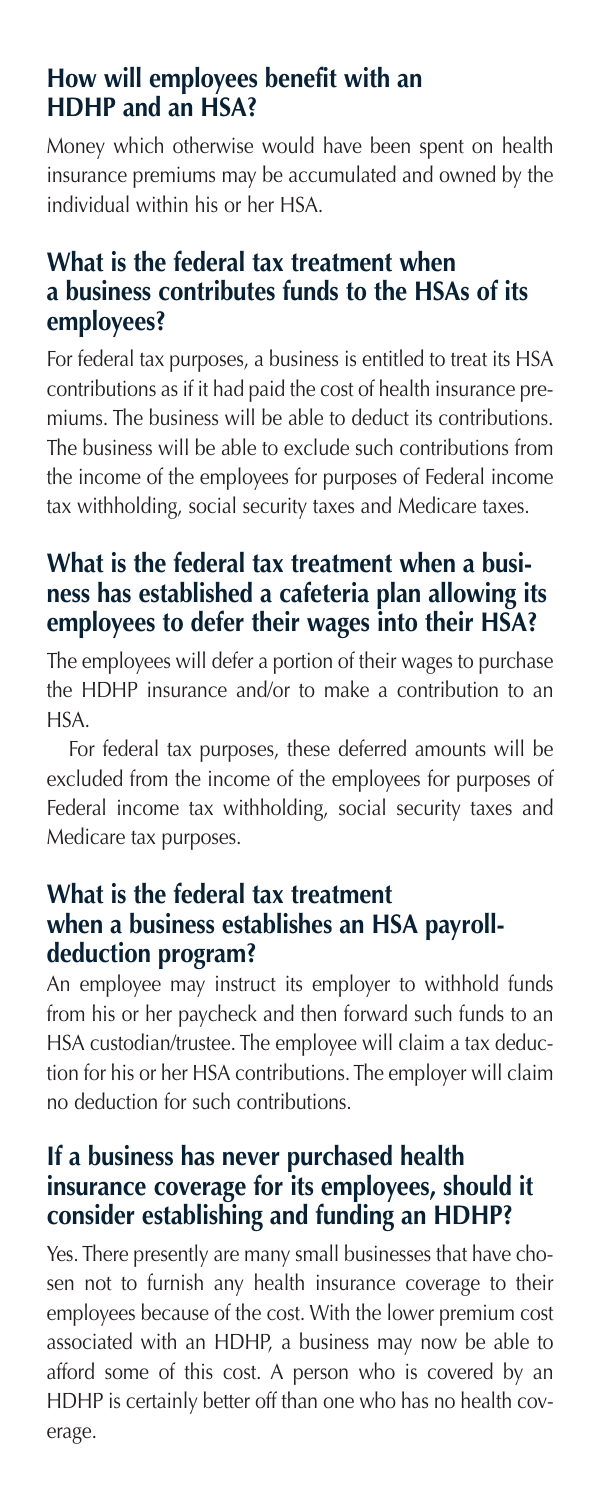## **How will employees benefit with an HDHP and an HSA?**

Money which otherwise would have been spent on health insurance premiums may be accumulated and owned by the individual within his or her HSA.

## **What is the federal tax treatment when a business contributes funds to the HSAs of its employees?**

For federal tax purposes, a business is entitled to treat its HSA contributions as if it had paid the cost of health insurance premiums. The business will be able to deduct its contributions. The business will be able to exclude such contributions from the income of the employees for purposes of Federal income tax withholding, social security taxes and Medicare taxes.

## **What is the federal tax treatment when a business has established a cafeteria plan allowing its employees to defer their wages into their HSA?**

The employees will defer a portion of their wages to purchase the HDHP insurance and/or to make a contribution to an HSA.

 For federal tax purposes, these deferred amounts will be excluded from the income of the employees for purposes of Federal income tax withholding, social security taxes and Medicare tax purposes.

## **What is the federal tax treatment when a business establishes an HSA payrolldeduction program?**

An employee may instruct its employer to withhold funds from his or her paycheck and then forward such funds to an HSA custodian/trustee. The employee will claim a tax deduction for his or her HSA contributions. The employer will claim no deduction for such contributions.

## **If a business has never purchased health insurance coverage for its employees, should it consider establishing and funding an HDHP?**

Yes. There presently are many small businesses that have chosen not to furnish any health insurance coverage to their employees because of the cost. With the lower premium cost associated with an HDHP, a business may now be able to afford some of this cost. A person who is covered by an HDHP is certainly better off than one who has no health coverage.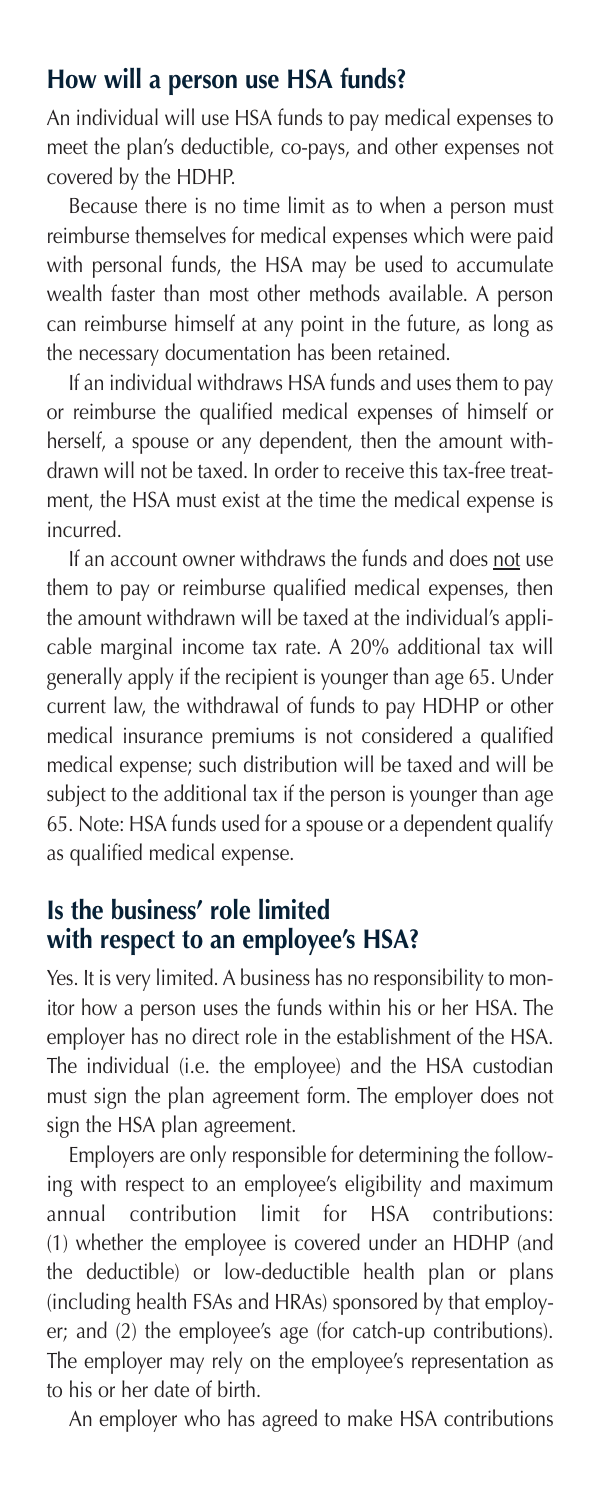#### **How will a person use HSA funds?**

An individual will use HSA funds to pay medical expenses to meet the plan's deductible, co-pays, and other expenses not covered by the HDHP.

 Because there is no time limit as to when a person must reimburse themselves for medical expenses which were paid with personal funds, the HSA may be used to accumulate wealth faster than most other methods available. A person can reimburse himself at any point in the future, as long as the necessary documentation has been retained.

 If an individual withdraws HSA funds and uses them to pay or reimburse the qualified medical expenses of himself or herself, a spouse or any dependent, then the amount withdrawn will not be taxed. In order to receive this tax-free treatment, the HSA must exist at the time the medical expense is incurred.

 If an account owner withdraws the funds and does not use them to pay or reimburse qualified medical expenses, then the amount withdrawn will be taxed at the individual's applicable marginal income tax rate. A 20% additional tax will generally apply if the recipient is younger than age 65. Under current law, the withdrawal of funds to pay HDHP or other medical insurance premiums is not considered a qualified medical expense; such distribution will be taxed and will be subject to the additional tax if the person is younger than age 65. Note: HSA funds used for a spouse or a dependent qualify as qualified medical expense.

# **Is the business' role limited with respect to an employee's HSA?**

Yes. It is very limited. A business has no responsibility to monitor how a person uses the funds within his or her HSA. The employer has no direct role in the establishment of the HSA. The individual (i.e. the employee) and the HSA custodian must sign the plan agreement form. The employer does not sign the HSA plan agreement.

 Employers are only responsible for determining the following with respect to an employee's eligibility and maximum annual contribution limit for HSA contributions: (1) whether the employee is covered under an HDHP (and the deductible) or low-deductible health plan or plans (including health FSAs and HRAs) sponsored by that employer; and (2) the employee's age (for catch-up contributions). The employer may rely on the employee's representation as to his or her date of birth.

An employer who has agreed to make HSA contributions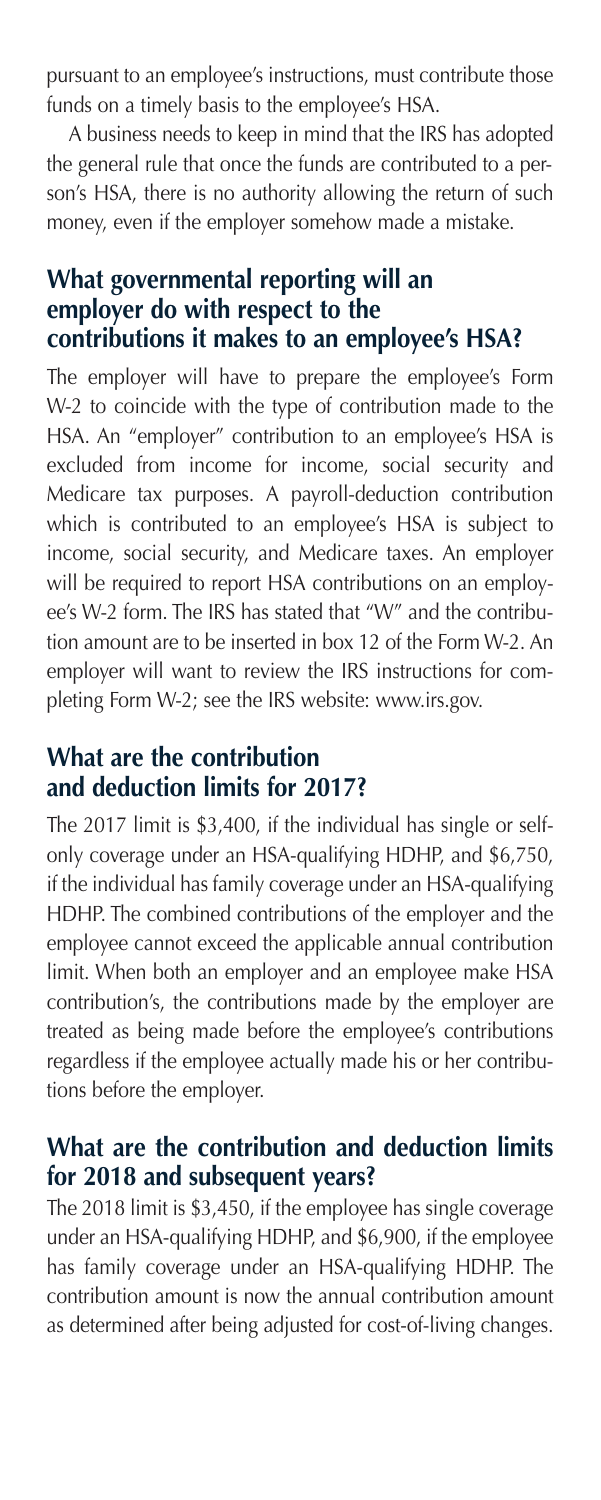pursuant to an employee's instructions, must contribute those funds on a timely basis to the employee's HSA.

 A business needs to keep in mind that the IRS has adopted the general rule that once the funds are contributed to a person's HSA, there is no authority allowing the return of such money, even if the employer somehow made a mistake.

#### **What governmental reporting will an employer do with respect to the contributions it makes to an employee's HSA?**

The employer will have to prepare the employee's Form W-2 to coincide with the type of contribution made to the HSA. An "employer" contribution to an employee's HSA is excluded from income for income, social security and Medicare tax purposes. A payroll-deduction contribution which is contributed to an employee's HSA is subject to income, social security, and Medicare taxes. An employer will be required to report HSA contributions on an employee's W-2 form. The IRS has stated that "W" and the contribution amount are to be inserted in box 12 of the Form W-2. An employer will want to review the IRS instructions for completing Form W-2; see the IRS website: www.irs.gov.

# **What are the contribution and deduction limits for 2017?**

The 2017 limit is \$3,400, if the individual has single or selfonly coverage under an HSA-qualifying HDHP, and \$6,750, if the individual has family coverage under an HSA-qualifying HDHP. The combined contributions of the employer and the employee cannot exceed the applicable annual contribution limit. When both an employer and an employee make HSA contribution's, the contributions made by the employer are treated as being made before the employee's contributions regardless if the employee actually made his or her contributions before the employer.

## **What are the contribution and deduction limits for 2018 and subsequent years?**

The 2018 limit is \$3,450, if the employee has single coverage under an HSA-qualifying HDHP, and \$6,900, if the employee has family coverage under an HSA-qualifying HDHP. The contribution amount is now the annual contribution amount as determined after being adjusted for cost-of-living changes.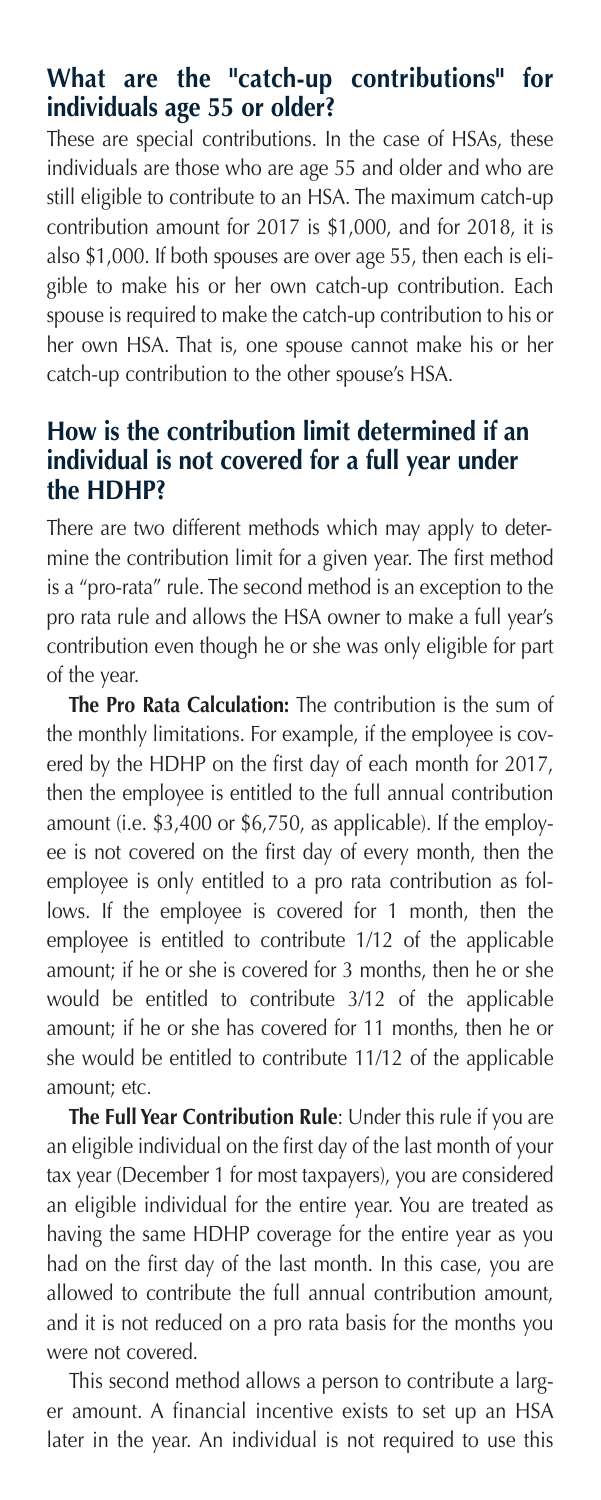## **What are the "catch-up contributions" for individuals age 55 or older?**

These are special contributions. In the case of HSAs, these individuals are those who are age 55 and older and who are still eligible to contribute to an HSA. The maximum catch-up contribution amount for 2017 is \$1,000, and for 2018, it is also \$1,000. If both spouses are over age 55, then each is eligible to make his or her own catch-up contribution. Each spouse is required to make the catch-up contribution to his or her own HSA. That is, one spouse cannot make his or her catch-up contribution to the other spouse's HSA.

#### **How is the contribution limit determined if an individual is not covered for a full year under the HDHP?**

There are two different methods which may apply to determine the contribution limit for a given year. The first method is a "pro-rata" rule. The second method is an exception to the pro rata rule and allows the HSA owner to make a full year's contribution even though he or she was only eligible for part of the year.

 **The Pro Rata Calculation:** The contribution is the sum of the monthly limitations. For example, if the employee is covered by the HDHP on the first day of each month for 2017, then the employee is entitled to the full annual contribution amount (i.e. \$3,400 or \$6,750, as applicable). If the employee is not covered on the first day of every month, then the employee is only entitled to a pro rata contribution as follows. If the employee is covered for 1 month, then the employee is entitled to contribute 1/12 of the applicable amount; if he or she is covered for 3 months, then he or she would be entitled to contribute 3/12 of the applicable amount; if he or she has covered for 11 months, then he or she would be entitled to contribute 11/12 of the applicable amount; etc.

 **The Full Year Contribution Rule**: Under this rule if you are an eligible individual on the first day of the last month of your tax year (December 1 for most taxpayers), you are considered an eligible individual for the entire year. You are treated as having the same HDHP coverage for the entire year as you had on the first day of the last month. In this case, you are allowed to contribute the full annual contribution amount, and it is not reduced on a pro rata basis for the months you were not covered.

 This second method allows a person to contribute a larger amount. A financial incentive exists to set up an HSA later in the year. An individual is not required to use this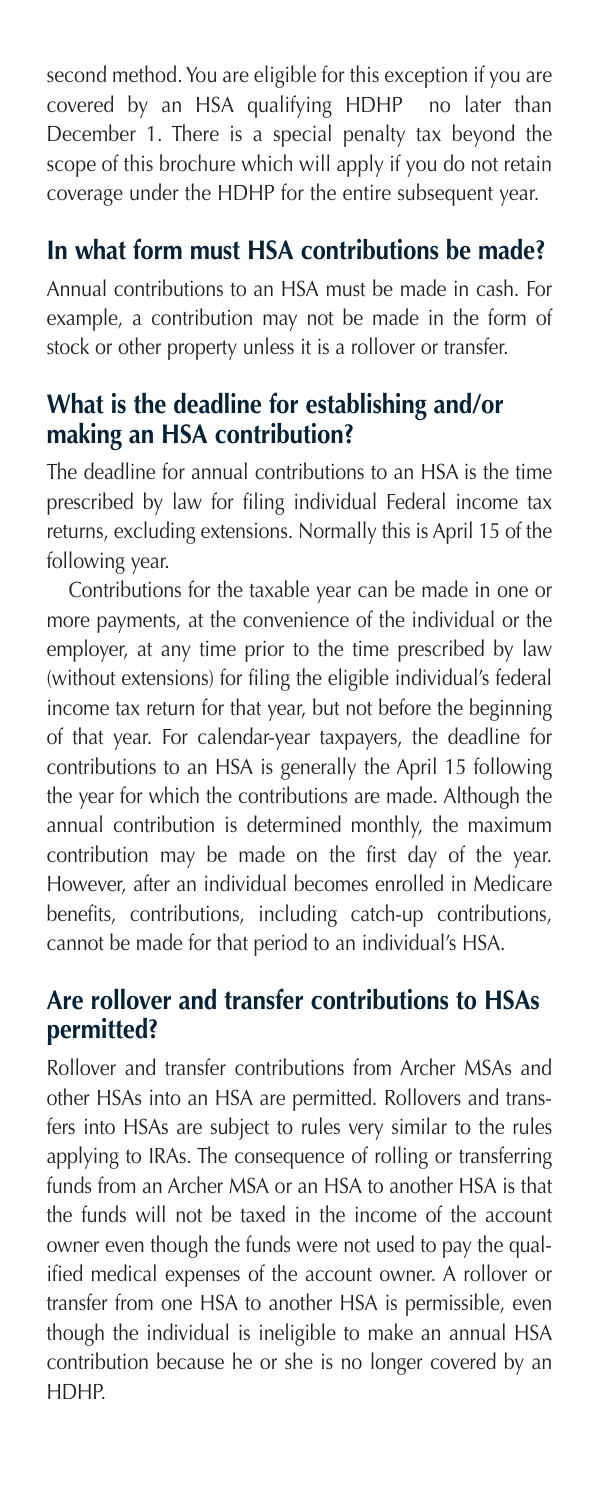second method. You are eligible for this exception if you are covered by an HSA qualifying HDHP no later than December 1. There is a special penalty tax beyond the scope of this brochure which will apply if you do not retain coverage under the HDHP for the entire subsequent year.

# **In what form must HSA contributions be made?**

Annual contributions to an HSA must be made in cash. For example, a contribution may not be made in the form of stock or other property unless it is a rollover or transfer.

## **What is the deadline for establishing and/or making an HSA contribution?**

The deadline for annual contributions to an HSA is the time prescribed by law for filing individual Federal income tax returns, excluding extensions. Normally this is April 15 of the following year.

 Contributions for the taxable year can be made in one or more payments, at the convenience of the individual or the employer, at any time prior to the time prescribed by law (without extensions) for filing the eligible individual's federal income tax return for that year, but not before the beginning of that year. For calendar-year taxpayers, the deadline for contributions to an HSA is generally the April 15 following the year for which the contributions are made. Although the annual contribution is determined monthly, the maximum contribution may be made on the first day of the year. However, after an individual becomes enrolled in Medicare benefits, contributions, including catch-up contributions, cannot be made for that period to an individual's HSA.

## **Are rollover and transfer contributions to HSAs permitted?**

Rollover and transfer contributions from Archer MSAs and other HSAs into an HSA are permitted. Rollovers and transfers into HSAs are subject to rules very similar to the rules applying to IRAs. The consequence of rolling or transferring funds from an Archer MSA or an HSA to another HSA is that the funds will not be taxed in the income of the account owner even though the funds were not used to pay the qualified medical expenses of the account owner. A rollover or transfer from one HSA to another HSA is permissible, even though the individual is ineligible to make an annual HSA contribution because he or she is no longer covered by an HDHP.